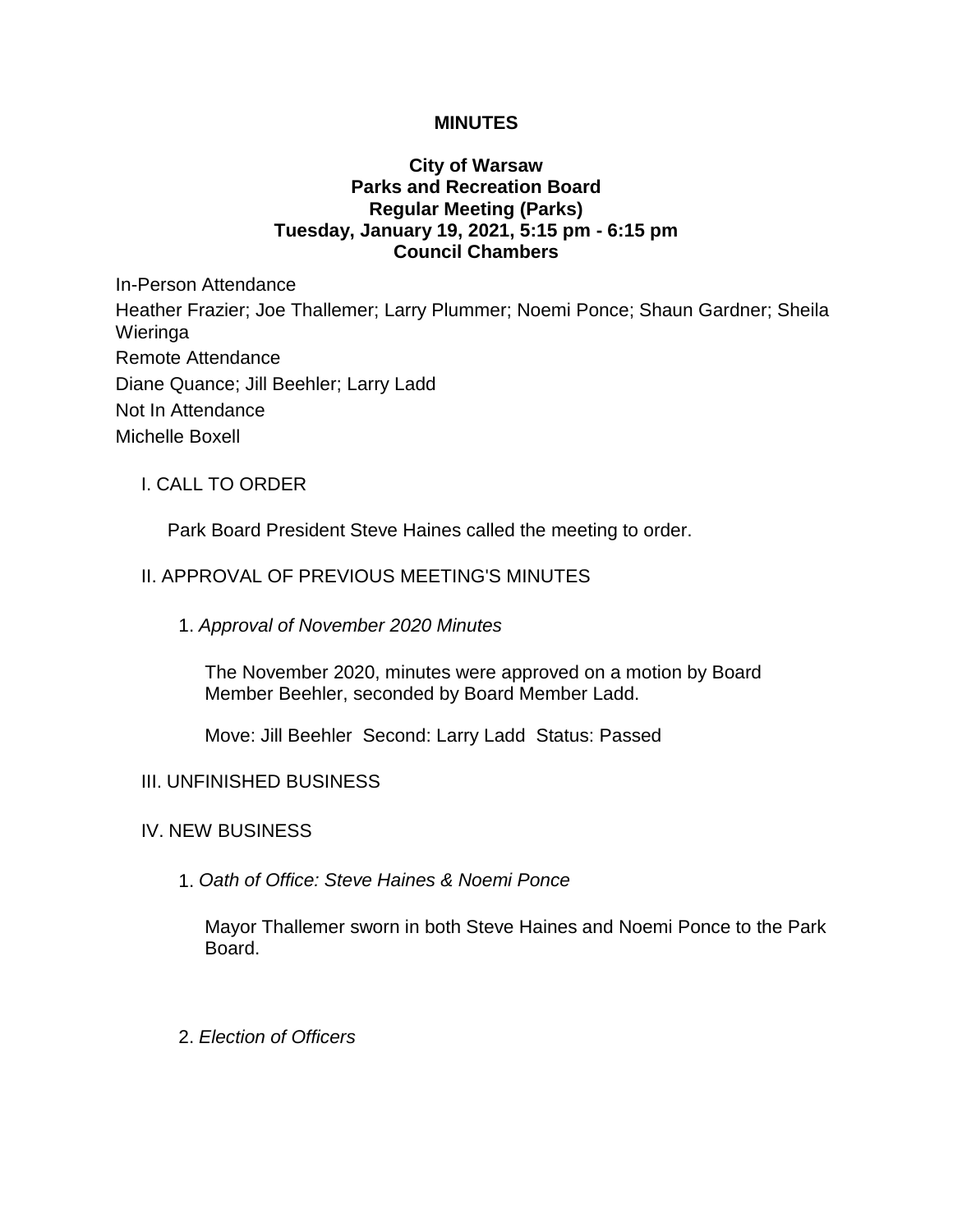## **MINUTES**

## **City of Warsaw Parks and Recreation Board Regular Meeting (Parks) Tuesday, January 19, 2021, 5:15 pm - 6:15 pm Council Chambers**

In-Person Attendance Heather Frazier; Joe Thallemer; Larry Plummer; Noemi Ponce; Shaun Gardner; Sheila Wieringa Remote Attendance Diane Quance; Jill Beehler; Larry Ladd Not In Attendance Michelle Boxell

## I. CALL TO ORDER

Park Board President Steve Haines called the meeting to order.

## II. APPROVAL OF PREVIOUS MEETING'S MINUTES

#### 1. *Approval of November 2020 Minutes*

The November 2020, minutes were approved on a motion by Board Member Beehler, seconded by Board Member Ladd.

Move: Jill Beehler Second: Larry Ladd Status: Passed

#### III. UNFINISHED BUSINESS

#### IV. NEW BUSINESS

1. *Oath of Office: Steve Haines & Noemi Ponce*

Mayor Thallemer sworn in both Steve Haines and Noemi Ponce to the Park Board.

2. *Election of Officers*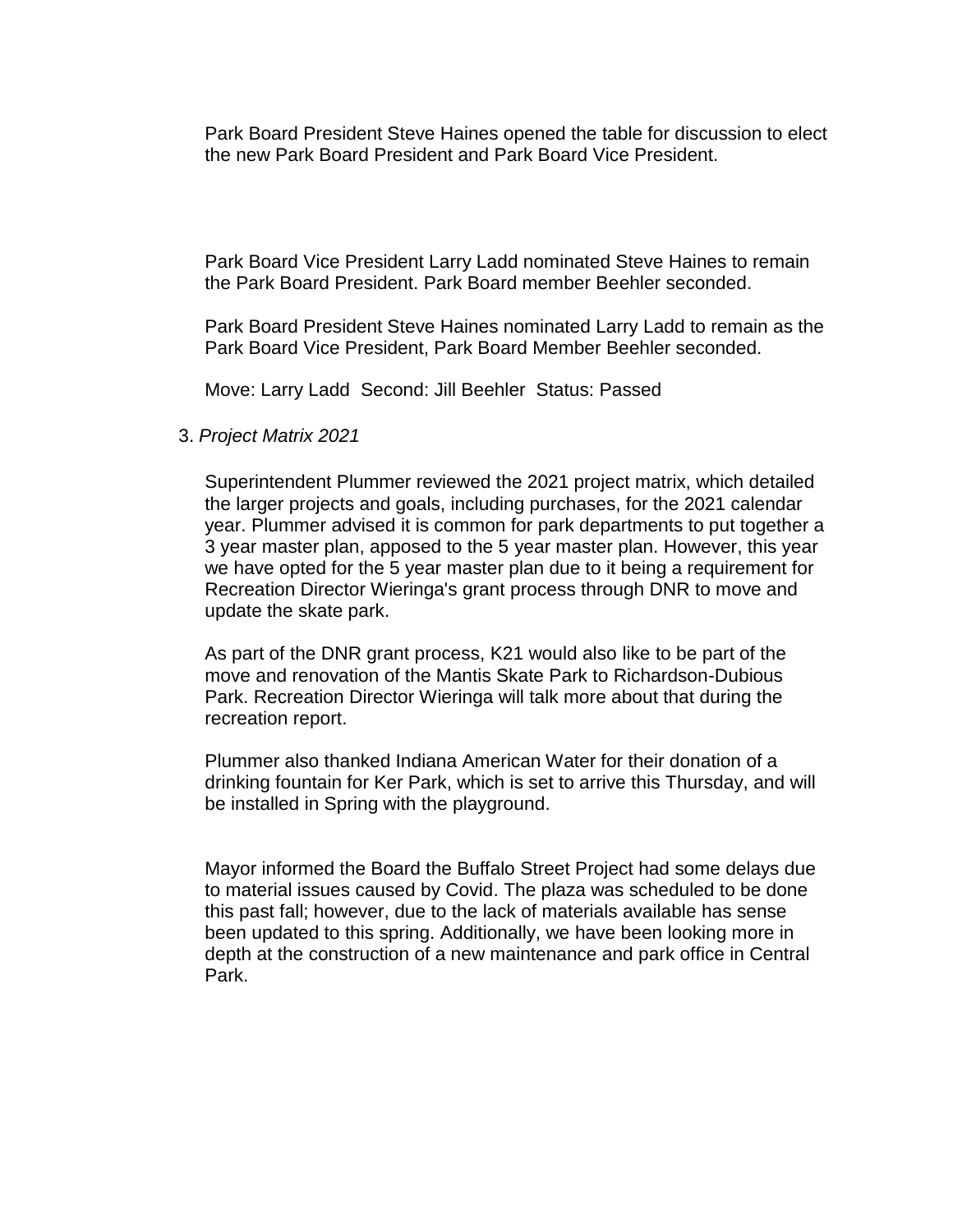Park Board President Steve Haines opened the table for discussion to elect the new Park Board President and Park Board Vice President.

Park Board Vice President Larry Ladd nominated Steve Haines to remain the Park Board President. Park Board member Beehler seconded.

Park Board President Steve Haines nominated Larry Ladd to remain as the Park Board Vice President, Park Board Member Beehler seconded.

Move: Larry Ladd Second: Jill Beehler Status: Passed

3. *Project Matrix 2021*

Superintendent Plummer reviewed the 2021 project matrix, which detailed the larger projects and goals, including purchases, for the 2021 calendar year. Plummer advised it is common for park departments to put together a 3 year master plan, apposed to the 5 year master plan. However, this year we have opted for the 5 year master plan due to it being a requirement for Recreation Director Wieringa's grant process through DNR to move and update the skate park.

As part of the DNR grant process, K21 would also like to be part of the move and renovation of the Mantis Skate Park to Richardson-Dubious Park. Recreation Director Wieringa will talk more about that during the recreation report.

Plummer also thanked Indiana American Water for their donation of a drinking fountain for Ker Park, which is set to arrive this Thursday, and will be installed in Spring with the playground.

Mayor informed the Board the Buffalo Street Project had some delays due to material issues caused by Covid. The plaza was scheduled to be done this past fall; however, due to the lack of materials available has sense been updated to this spring. Additionally, we have been looking more in depth at the construction of a new maintenance and park office in Central Park.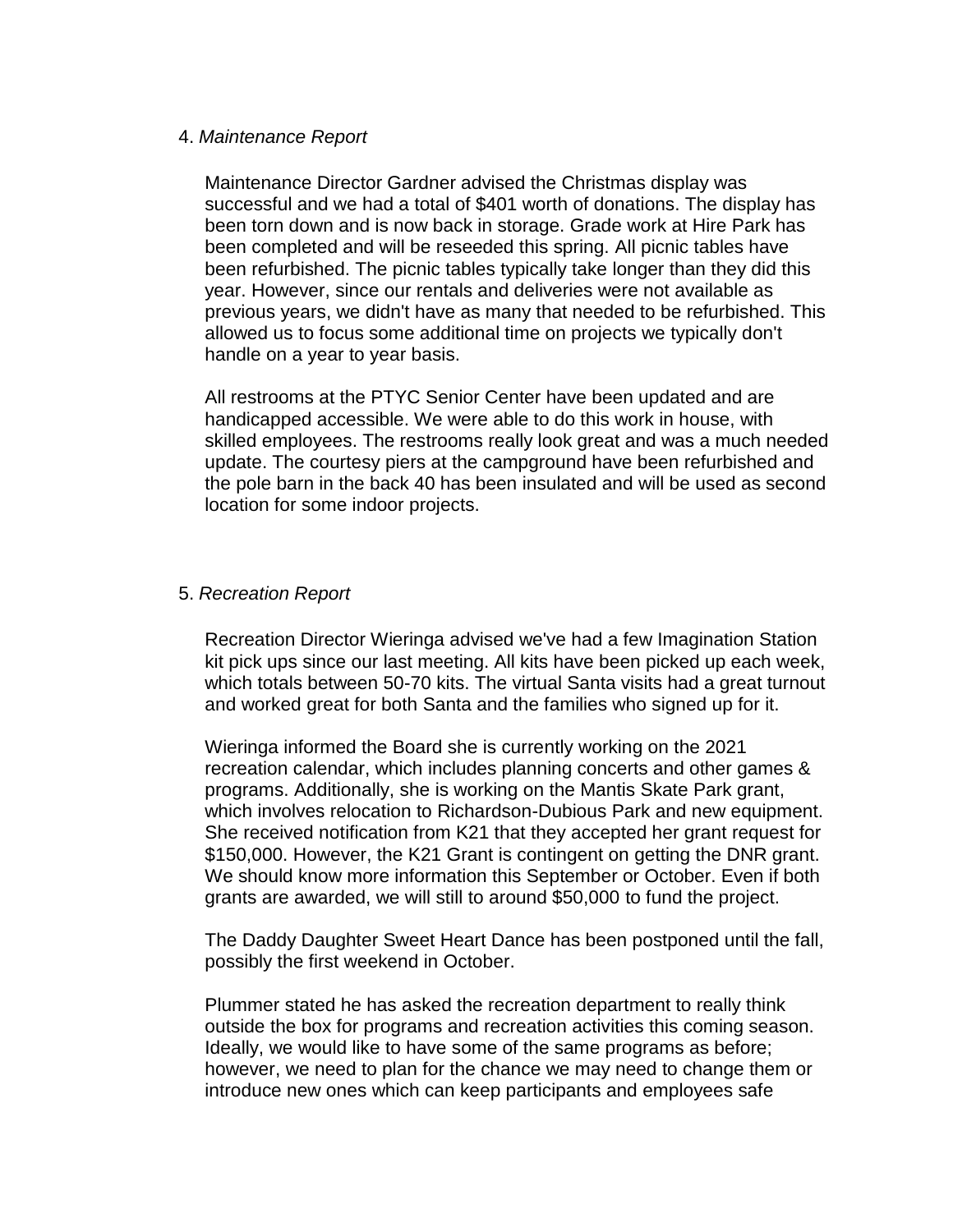#### 4. *Maintenance Report*

Maintenance Director Gardner advised the Christmas display was successful and we had a total of \$401 worth of donations. The display has been torn down and is now back in storage. Grade work at Hire Park has been completed and will be reseeded this spring. All picnic tables have been refurbished. The picnic tables typically take longer than they did this year. However, since our rentals and deliveries were not available as previous years, we didn't have as many that needed to be refurbished. This allowed us to focus some additional time on projects we typically don't handle on a year to year basis.

All restrooms at the PTYC Senior Center have been updated and are handicapped accessible. We were able to do this work in house, with skilled employees. The restrooms really look great and was a much needed update. The courtesy piers at the campground have been refurbished and the pole barn in the back 40 has been insulated and will be used as second location for some indoor projects.

#### 5. *Recreation Report*

Recreation Director Wieringa advised we've had a few Imagination Station kit pick ups since our last meeting. All kits have been picked up each week, which totals between 50-70 kits. The virtual Santa visits had a great turnout and worked great for both Santa and the families who signed up for it.

Wieringa informed the Board she is currently working on the 2021 recreation calendar, which includes planning concerts and other games & programs. Additionally, she is working on the Mantis Skate Park grant, which involves relocation to Richardson-Dubious Park and new equipment. She received notification from K21 that they accepted her grant request for \$150,000. However, the K21 Grant is contingent on getting the DNR grant. We should know more information this September or October. Even if both grants are awarded, we will still to around \$50,000 to fund the project.

The Daddy Daughter Sweet Heart Dance has been postponed until the fall, possibly the first weekend in October.

Plummer stated he has asked the recreation department to really think outside the box for programs and recreation activities this coming season. Ideally, we would like to have some of the same programs as before; however, we need to plan for the chance we may need to change them or introduce new ones which can keep participants and employees safe